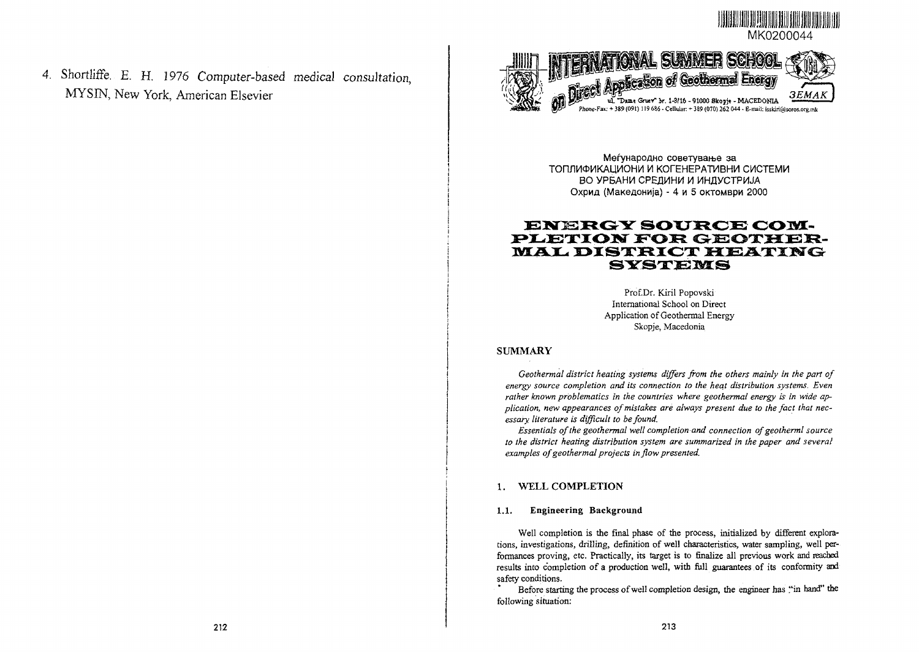

4. Shortliffe. E. H. 1976 Computer-based medical consultation, MYSIN, New York, American Elsevier



Меѓународно советување за ТОПЛИФИКАЦИОНИ И КОГЕНЕРАТИВНИ СИСТЕМИ ВО УРБАНИ СРЕДИНИ И ИНДУСТРИЈА Охрид (Македонија) - 4 и 5 октомври 2000

# **ENERGY SOURCE COM-PLETION FOR GEOTHER-MAL DISTRICT HEATING SYSTEMS**

Prof.Dr. Kiril Popovski International School on Direct Application of Geothermal Energy Skopje, Macedonia

### SUMMARY

*Geothermal district heating systems differs from the others mainly in the part of energy source completion and its connection to the hecit distribution systems. Even rather known problematics in the countries where geothermal energy is in wide application, new appearances of mistakes are always present due to the fact that necessary literature is difficult to be found.*

*Essentials of the geothermal well completion and connection ofgeotherml source to the district heating distribution system are summarized in the paper and several examples of geothermal projects in flow presented.*

### 1. WELL COMPLETION

#### **1.1. Engineering Background**

Well completion is the final phase of the process, initialized by different explora tions, investigations, drilling, definition of well characteristics, water sampling, well per formances proving, etc. Practically, its target is to finalize all previous work and reached results into completion of a production well, with full guarantees of its conformity and safety conditions.

Before starting the process of well completion design, the engineer has "in hand" the following situation: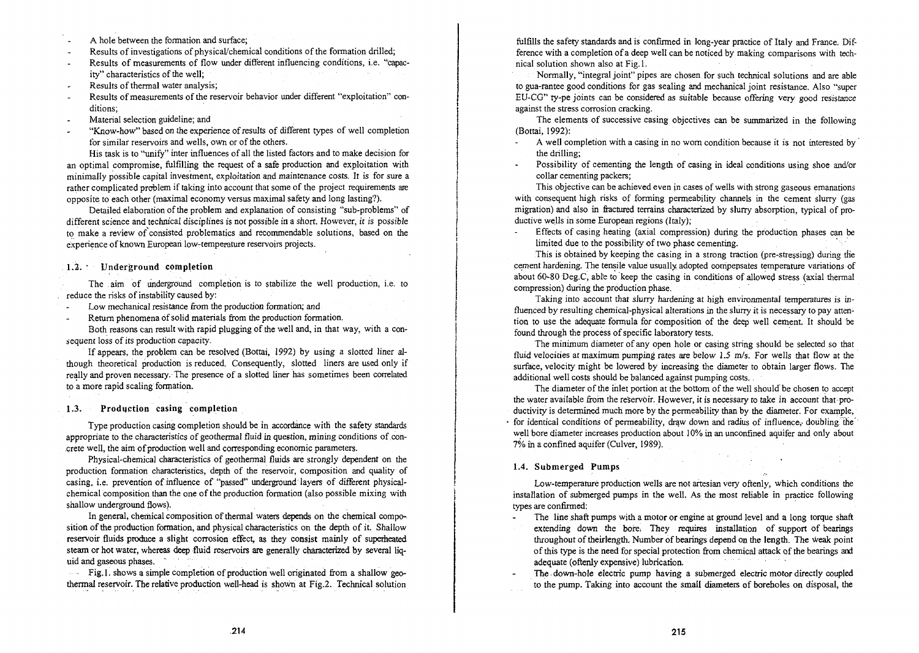- A hole between the formation and surface;
- Results of investigations of physical/chemical conditions of the formation drilled;
- Results of measurements of flow under different influencing conditions, i.e. "capacity" characteristics of the well;
- Results of thermal water analysis;
- Results of measurements of the reservoir behavior under different "exploitation" con- $\overline{a}$ ditions;
- Material selection guideline; and
- "Know-how" based on the experience of results of different types of well completion for similar reservoirs and wells, own or of the others.

His task is to "unify" inter influences of all the listed factors and to make decision for an optimal compromise, fulfilling the request of a safe production and exploitation with minimally possible capital investment, exploitation and maintenance costs. It is for sure a rather complicated problem if taking into account that some of the project requirements arc opposite to each other (maximal economy versus maximal safety and long lasting?).

Detailed elaboration of the problem and explanation of consisting "sub-problems" of different science and technical disciplines is not possible in a short. However, it is possible to make a review of consisted problematics and recommendable solutions, based on the experience of known European low-temperature reservoirs projects.

### 1.2. • Underground completion

The aim of underground completion is to stabilize the well production, i.e. to reduce the risks of instability caused by:

- Low mechanical resistance from the production formation; and
- Return phenomena of solid materials from the production formation.

Both reasons can result with rapid plugging of the well and, in that way, with a consequent loss of its production capacity.

If appears, the problem can be resolved (Bottai, 1992) by using a slotted liner although theoretical production is reduced. Consequently, slotted liners are used only if really and proven necessary. The presence of a slotted liner has sometimes been correlated to a more rapid scaling formation.

#### 1.3. Production casing completion

Type production casing completion should be in accordance with the safety standards appropriate to the characteristics of geothermal fluid in question, mining conditions of concrete well, the aim of production well and corresponding economic parameters.

Physical-chemical characteristics of geothermal fluids are strongly dependent on the production formation characteristics, depth of the reservoir, composition and quality of casing, i.e. prevention of influence of "passed" underground layers of different physicalchemical composition than the one of the production formation (also possible mixing with shallow underground flows).

In general, chemical composition of thermal waters depends on the chemical composition of the production formation, and physical characteristics on the depth of it. Shallow reservoir fluids produce a slight corrosion effect, as they consist mainly of superheated steam or hot water, whereas deep fluid reservoirs are generally characterized by several liquid and gaseous phases. "

Fig.l. shows a simple completion of production well originated from a shallow geothermal reservoir. The relative production well-head is shown at Fig.2. Technical solution

fulfills the safety standards and is confirmed in long-year practice of Italy and France. Difference with a completion of a deep well can be noticed by making comparisons with technical solution shown also at Fig. 1.

Normally, "integral joint" pipes are chosen for such technical solutions and are able to gua-rantee good conditions for gas sealing and mechanical joint resistance. Also "super EU-CG" ty-pe joints can be considered as suitable because offering very good resistance against the stress corrosion cracking.

The elements of successive casing objectives can be summarized in the following (Bottai, 1992):

- A well completion with a casing in no worn condition because it is not interested by the drilling;
- Possibility of cementing the length of casing in ideal conditions using shoe and/or collar cementing packers;

This objective can be achieved even in cases of wells with strong gaseous emanations with consequent high risks of forming permeability channels in the cement slurry (gas migration) and also in fractured terrains characterized by slurry absorption, typical of productive wells in some European regions (Italy);

Effects of casing heating (axial compression) during the production phases can be limited due to the possibility of two phase cementing.

This is obtained by keeping the casing in a strong traction (pre-stressing) during the cement hardening. The tensile value usually adopted compensates temperature variations of about 60-80 Deg.C, able to keep the casing in conditions of allowed stress (axial thermal compression) during the production phase.

Taking into account that slurry hardening at high environmental temperatures is influenced by resulting chemical-physical alterations in the slurry it is necessary to pay attention to use the adequate formula for composition of the deep well cement. It should be found through the process of specific laboratory tests.

The minimum diameter of any open hole or casing string should be selected so that fluid velocities at maximum pumping rates are below 1.5 m/s. For wells that flow at the surface, velocity might be lowered by increasing the diameter to obtain larger flows. The additional well costs should be balanced against pumping costs..

The diameter of the inlet portion at the bottom of the well should be chosen to accept the water available from the reservoir. However, it is necessary to take in account that productivity is determined much more by the permeability than by the diameter. For example, for identical conditions of permeability, draw down and radius of influence, doubling the well bore diameter increases production about 10% in an unconfined aquifer and only about 7% in a confined aquifer (Culver, 1989).

### 1.4. Submerged Pumps

Low-temperature production wells are not artesian very oftenly, which conditions the installation of submerged pumps in the well. As the most reliable in practice following types are confirmed:

The line shaft pumps with a motor or engine at ground level and a long torque shaft

- extending down the bore. They requires installation of support of bearings throughout of theirlength. Number of bearings depend on the length. The weak point of this type is the need for special protection from chemical attack of the bearings and adequate (oftenly expensive) lubrication.
- The down-hole electric pump having a submerged electric motor directly coupled to the pump. Taking into account the small diameters of boreholes on disposal, the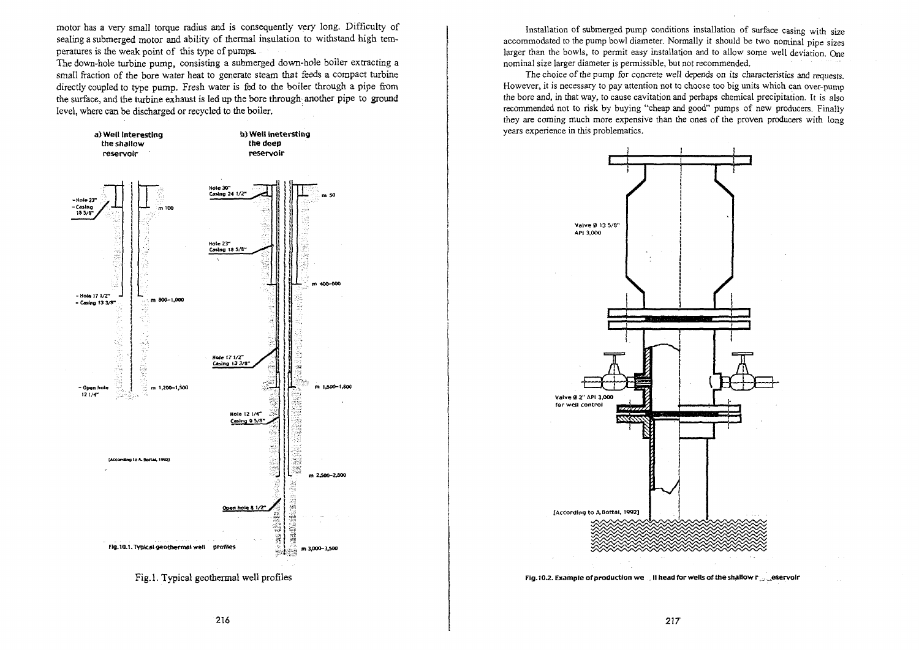motor has a very small torque radius and is consequently very long. Difficulty of sealing a submerged motor and ability of thermal insulation to withstand high temperatures is the weak point of this type of pumps.

The down-hole turbine pump, consisting a submerged down-hole boiler extracting a small fraction of the bore water heat to generate steam that feeds a compact turbine directly coupled to type pump. Fresh water is fed to the boiler through a pipe from the surface, and the turbine exhaust is led up the bore through another pipe to ground level, where can be discharged or recycled to the boiler.



Installation of submerged pump conditions installation of surface casing with size accommodated to the pump bowl diameter. Normally it should be two nominal pipe sizes larger than the bowls, to permit easy installation and to allow some well deviation. One nominal size larger diameter is permissible, but not recommended.

The choice of the pump for concrete weil depends on its characteristics and requests. However, it is necessary to pay attention not to choose too big units which can over-pump the bore and, in that way, to cause cavitation and perhaps chemical precipitation. It is also recommended not to risk by buying "cheap and good" pumps of new producers. Finally they are coming much more expensive than the ones of the proven producers with long years experience in this problematics.



Fig.10.2. Example of production we . II head for wells of the shallow r eservoir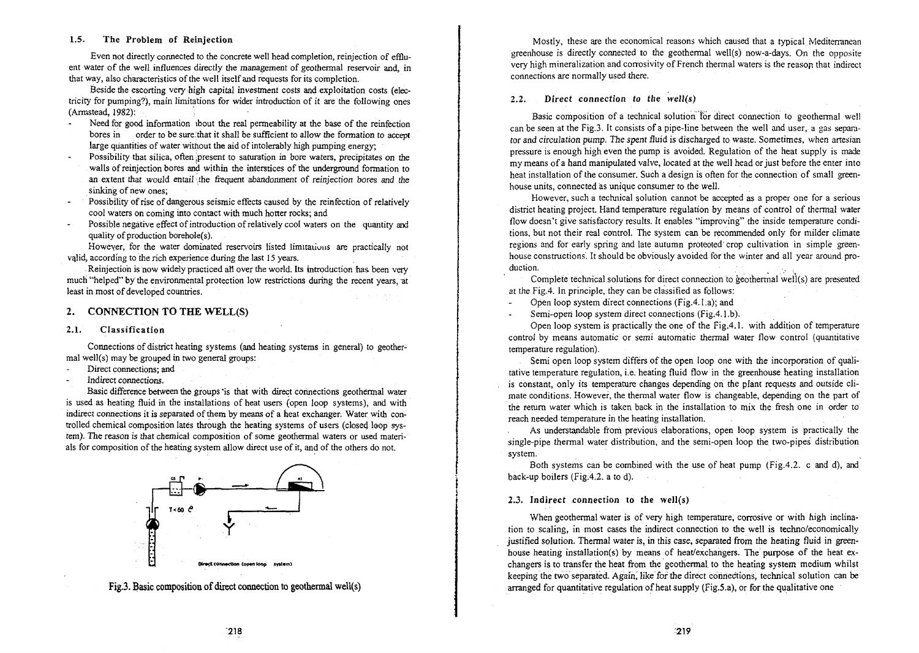#### 1.5. The Problem of Reinjection

Even not directly connected to the concrete well head completion, reinjection of effluent water of the well influences directly the management of geothermal reservoir and, in that way, also characteristics of the well itself and requests for its completion.

Beside the escorting very high capital investment costs and exploitation costs (electricity for pumping?), main limitations for wider introduction of it are the following ones (Armstead, 1982):

- Need for good information ibout the real permeability at the base of the reinfection bores in order to be sure.that it shall be sufficient to allow the formation *to* accept large quantities of water without the aid of intolerably high pumping energy;
- Possibility that silica, often present to saturation in bore waters, precipitates on the walls of reinjection bores and within the interstices of the underground formation to an extent that would entail the frequent abandonment of reinjection bores and the sinking of new ones;
- Possibility of rise of dangerous seismic effects caused by the reinfection of relatively cool waters on coming into contact with much hotter rocks; and
- Possible negative effect of introduction of relatively ccol waters on the quantity and quality of production borehole(s).

However, for the water dominated reservoirs listed limitations are practically not vajid, according to the rich experience during the last 15 years.

Reinjectioh is now widely practiced all over the world. Its introduction has been very much "helped" by the environmental protection low restrictions during the recent years, at least in most of developed countries.

### 2. CONNECTION TO THE WELL(S)

#### 2.1. Classification

Connections of district heating systems (and heating systems in general) to geothermal well(s) may be grouped in two general groups:

- Direct connections; and
- Indirect connections.

Basic difference between the groups "is that with direct connections geothermal water is used as heating fluid in the installations of heat users (open loop systems), and with indirect connections it is separated of them by means of a heat exchanger: Water with controlled chemical composition lates through the heating systems of users (closed loop system). The reason is that chemical composition of some geothermal waters or used materials for composition of the heating system allow direct use of it, and of the others do not.



Fig.3. Basic composition of direct connection to geothermal well(s)

Mostly, these are the economical reasons which caused that a typical. Mediterranean greenhouse is directly connected to the geothermal well(s) now-a-days. On the opposite very high mineralization and corrosivity of French thermal waters is the reason that indirect connections are normally used there.

### 2.2. Direct connection to the well(s)

Basic composition of a technical solution for direct connection to geothermal well can be seen at the Fig.3. It consists of a pipe-line between the well and user, a gas separator and circulation pump. The spent fluid is discharged to waste. Sometimes, when artesian pressure is enough high even the pump is avoided. Regulation of the heat supply is made my means of a hand manipulated valve, located at the well head or just before the enter into heat installation of the consumer. Such a design is often for the connection of small greenhouse units, connected as unique consumer to the well.

However, such a technical solution cannot be accepted as a proper one for a serious district heating project. Hand temperature regulation by means of control of thermal water flow doesn't give satisfactory results. It enables "improving" the inside temperature conditions, but not their real control. The system can be recommended only for milder climate regions and for early spring and late autumn protected' crop cultivation in simple greenhouse constructions. It should be obviously avoided for the winter and all year around production.  $\mathcal{L} = \{ \mathcal{L} \mid \mathcal{L} \}$  .  $\mathcal{L} = \{ \mathcal{L} \mid \mathcal{L} \}$  . The set of  $\mathcal{L} = \{ \mathcal{L} \}$ 

Complete technical solutions for direct connection to geothermal well(s) are presented at the Fig.4. In principle, they can be classified as follows:

Open loop system direct connections (Fig.4.1 .a); and  $\overline{a}$ 

Semi-open loop system direct connections (Fig.4.1.b).

Open loop system is practically the one of the Fig.4.1. with addition of temperature control by means automatic or semi automatic thermal water flow control (quantitative temperature regulation).

Semi open loop system differs of the open loop one with the incorporation of qualitative temperature regulation, i.e. heating fluid flow in the greenhouse heating installation is constant, only its temperature changes depending on the plant requests and outside climate conditions. However, the thermal water flow is changeable, depending on the part of the return water which is taken back in the installation to. mix the fresh one in order to reach needed temperature in the heating installation.

As understandable from previous elaborations, open loop system is practically the single-pipe thermal water distribution, and the semi-open loop the two-pipes distribution system.

Both systems can be combined with the use of heat pump (Fig.4.2. c and d), and back-up boilers (Fig.4.2. a to d).

#### 2.3. Indirect connection to the well(s)

When geothermal water is of very high temperature, corrosive or with high inclination to scaling, in most cases the indirect connection to the well is techno/economically justified solution. Thermal water is, in this case, separated from the heating fluid in greenhouse heating installation(s) by means of heat/exchangers. The purpose of the heat exchangers is to transfer the heat from the geothermal. to the heating system medium whilst keeping the two separated. Again, like for the direct connections, technical solution can be arranged for quantitative regulation of heat supply (Fig.5.a), or for the qualitative one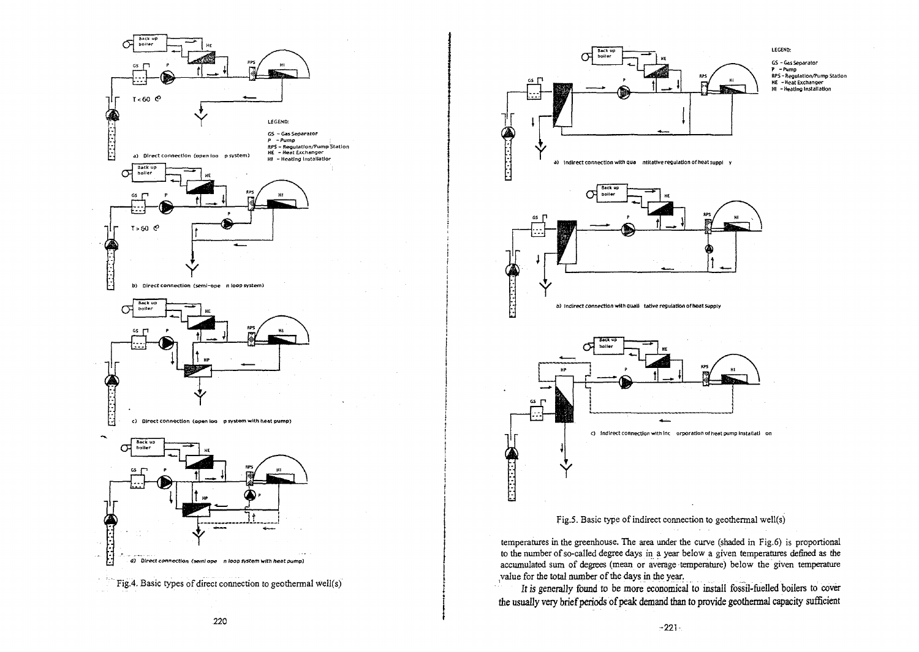



Fig.5. Basic type of indirect connection to geothermal well(s)

temperatures in the greenhouse. The area under the curve (shaded in Fig.6) is proportional to the number of so-called degree days in a year below a given temperatures defined as the accumulated sum of degrees (mean or average temperature) below the given temperature (value for the total number of the days in the year.

*It is* generally found to be more economical to install fossil-fuelled boilers to cover the usually very brief periods of peak demand than to provide geothermai capacity sufficient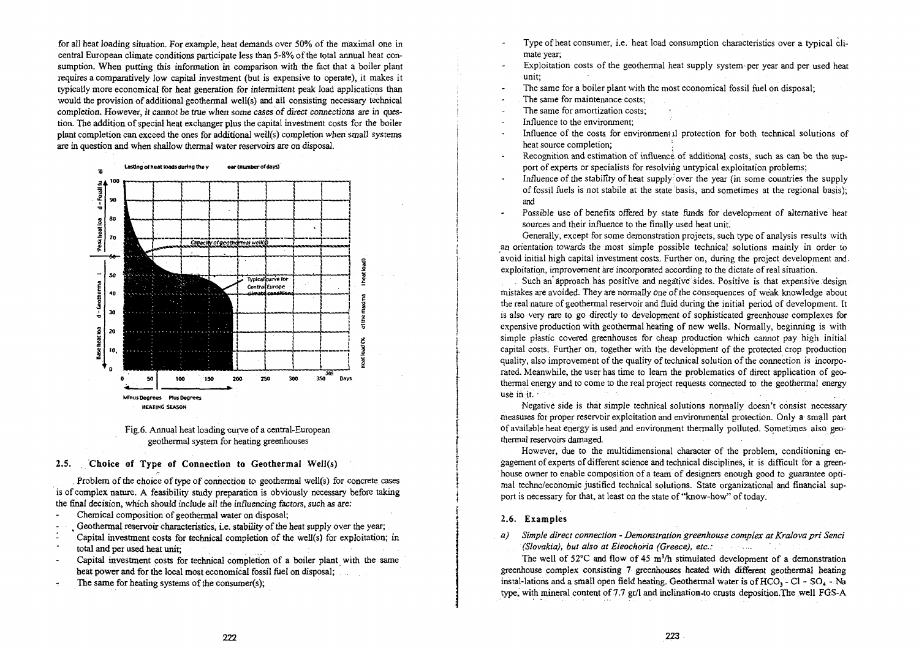for all heat loading situation. For example, heat demands over 50% of the maximal one in central European climate conditions participate less than 5-8% of the total annual heat consumption. When putting this information in comparison with the fact that a boiler plant requires a comparatively low capital investment (but is expensive to operate), it makes it typically more economical for heat generation for intermittent peak load applications than would the provision of additional geothermal well(s) and all consisting necessary technical completion. However, it cannot be true when *some cases of direct connections* are in question. The addition of special heat exchanger plus the capital investment costs for the boiler plant completion can exceed the ones for additional well(s) completion when small systems are in question and when shallow thermal water reservoirs are on disposal.





### 2.5. Choice of Type of Connection to Geothermal Well(s)

Problem of the choice of type of connection *to* geothermal well(s) for concrete cases is of complex nature. A feasibility study preparation is obviously necessary before taking the final decision, which should include all the influencing factors, such as are:

- Chemical composition of geothermal water on disposal;
- Geothermal reservoir characteristics, i.e. stability of the heat supply over the year;
- : Capital investment costs for technical completion of the well(s) for exploitation; in total and per used heat unit;
- Capital investment costs for technical completion of a boiler plant with the same  $\tilde{\phantom{a}}$ heat power and for the local most economical fossil fuel on disposal;
- The same for heating systems of the consumer(s);  $\overline{\phantom{a}}$
- Type of heat consumer, i.e. heat load consumption characteristics over a typical climate year;
- Exploitation costs of the geothermal heat supply system per year and per used heat unit;

The same for a boiler plant with the most economical fossil fuel on disposal;

- The same for maintenance costs;
- The same for amortization costs;
- Influence to the environment;
- Influence of the costs for environment jl protection for both technical solutions of heat source completion;
- Recognition and estimation of influence of additional costs, such as can be the support of experts or specialists for resolving untypical exploitation problems;
- Influence of the stability of heat supply over the year (in some countries the supply of fossil fuels is not stabile at the state basis, and sometimes at the regional basis); and
- Possible use of benefits offered by state funds for development of alternative heat sources and their influence to the finally used heat unit.

Generally, except for some demonstration projects, such type of analysis results with an orientation towards the most simple possible technical solutions mainly in order to avoid initial high capital investment costs. Further on, during the project development and. exploitation, improvement are incorporated according to the dictate of real situation.

Such an approach has positive and negative sides. Positive is that expensive design mistakes are avoided. They are normally one of the consequences of weak knowledge about the real nature of geothermal reservoir and fluid during the initial period of development. It is also very rare to go directly to development of sophisticated greenhouse complexes for expensive production with geothermal heating of new wells. Normally, beginning is with simple plastic covered greenhouses for cheap production which cannot pay high initial capital costs. Further on, together with the development of the protected crop production quality, also improvement of the quality of technical solution of the connection is incorporated. Meanwhile, the user has time to learn the problematics of direct application of geothermal energy and to come to the real project requests connected to the geothermal energy use in it. •

Negative side is that simple technical solutions normally doesn't consist necessary measures for proper reservoir exploitation and environmental protection. Only a small part of available heat energy is used and environment thermally polluted. Sometimes also geothermal reservoirs damaged.

However, due to the multidimensional character of the problem, conditioning engagement of experts of different science and technical disciplines, it is difficult for a greenhouse owner to enable composition of a team of designers enough good to guarantee optimal techno/economic justified technical solutions. State organizational and financial support is necessary for that, at least on the state of "know-how" of today.

#### 2.6. Examples

*a*) Simple direct connection - Demonstration greenhouse complex at Kralova pri Senci *(Slovakia), but also at Eleochoria (Greece), etc.:*

The well of 52°C and flow of 45 m<sup>3</sup>/h stimulated development of a demonstration greenhouse complex consisting 7 greenhouses heated with different geothermal heating instal-lations and a small open field heating. Geothermal water is of  $HCO<sub>3</sub> - Cl - SO<sub>4</sub> - Na$ type, with mineral content of 7.7 gr/1 and inclination-to crusts deposition.The well FGS-A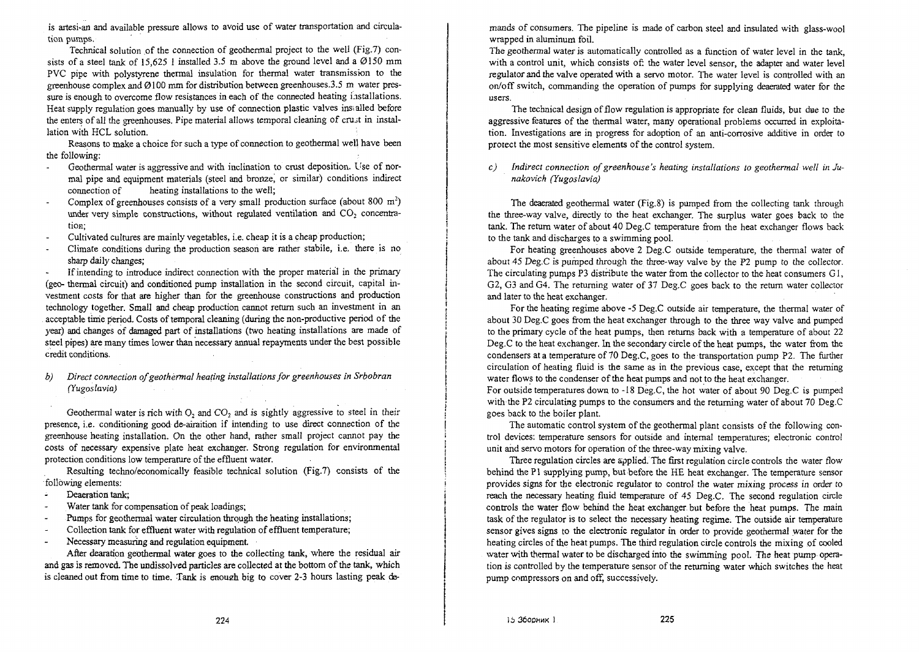is artesi-an and available pressure allows to avoid use of water transportation and circulation pumps.

Technical solution of the connection of geothermal project to the well (Fig.7) consists of a steel tank of 15,625 1 installed 3.5 m above the ground level and a  $\varnothing$ 150 mm PVC pipe with polystyrene thermal insulation for thermal water transmission to the greenhouse complex and  $Q100$  mm for distribution between greenhouses.3.5 m water pressure is enough to overcome flow resistances in each of the connected heating installations. Heat supply regulation goes manually by use of connection plastic valves ins. ailed before the enters of all the greenhouses. Pipe material allows temporal cleaning of crujt in installation with HCL solution.

Reasons to make a choice for such a type of connection to geothermal well have been the following:

- Geothermal water is aggressive and with inclination to crust deposition. Use of nor- $\mathbf{r}$ mal pipe and equipment materials (steel and bronze, or similar) conditions indirect connection of heating installations to the well: heating installations to the well:
- Complex of greenhouses consists of a very small production surface (about 800  $m^2$ ) under very simple constructions, without regulated ventilation and  $CO<sub>2</sub>$  concentration;
- Cultivated cultures are mainly vegetables, i.e. cheap it is a cheap production;
- Climate conditions during the production season are rather stabile, i.e. there is no sharp daily changes;

If intending to introduce indirect connection with the proper material in the primary (geo- thermal circuit) and conditioned pump installation in the second circuit, capital investment costs for that are higher than for the greenhouse constructions and production technology together. Small and cheap production cannot return such an investment in an acceptable time period. Costs of temporal cleaning (during the non-productive period of the year) and changes of damaged part of installations (two heating installations are made of steel pipes) are many times lower than necessary annual repayments under the best possible credit conditions.

### *b) Direct connection of geothermal heating installations for greenhouses in Srbobran (Yugoslavia)*

Geothermal water is rich with  $O_2$  and  $CO_2$  and is sightly aggressive to steel in their presence, i.e. conditioning good de-airaition if intending to use direct connection of the greenhouse heating installation. On the other hand, rather small project cannot pay the costs of necessary expensive plate heat exchanger. Strong regulation for environmental protection conditions low temperature of the effluent water.

Resulting techno/economically feasible technical solution (Fig.7) consists of the following elements:

 $\mathbb{Z}$ Deaeration tank;

- Water tank for compensation of peak loadings;  $\overline{a}$
- Pumps for geothermal water circulation through the heating installations;  $\sim$
- Collection tank for effluent water with regulation of effluent temperature;  $\overline{\phantom{a}}$
- Necessary measuring and regulation equipment  $\overline{a}$

After dearation geothermal water goes to the collecting tank, where the residual air and gas is removed. The undissolved particles are collected at the bottom of the tank, which is cleaned out from time to time. Tank is enough big to cover 2-3 hours lasting peak demands of consumers. The pipeline is made of carbon steel and insulated with glass-wool wrapped in aluminum foil.

The geothennal water is automatically controlled as a function of water level in the tank, with a control unit, which consists of: the water level sensor, the adapter and water level regulator and the valve operated with a servo motor. The water level is controlled with an on/off switch, commanding the operation of pumps for supplying deaerated water for the users.

The technical design of flow regulation is appropriate for clean fluids, but due to the aggressive features of the thermal water, many operational problems occurred in exploitation. Investigations are in progress for adoption of an anti-corrosive additive in order to protect the most sensitive elements of the control system.

*c) Indirect connection of greenhouse's heating installations to geothermal well inJunakovich (Yugoslavia)*

The deaerated geothermal water (Fig. 8) is pumped from the collecting tank through the three-way valve, directly to the heat exchanger. The surplus water goes back to the tank. The return water of about 40 Deg.C temperature from the heat exchanger flows back to the tank and discharges to a swimming pool.

For heating greenhouses above 2 Deg.C outside temperature, the thermal water of about 45 Deg.C is pumped through the three-way valve by the P2 pump to the collector. The circulating pumps P3 distribute the water from the collector to the heat consumers G1, G2, G3 and G4. The returning water of 37 Deg.C goes back to the return water collector and later to the heat exchanger.

For the heating regime above -5 Deg.C outside air temperature, the thermal water of about 30 Deg.C goes from the heat exchanger through to the three way valve and pumped to the primary cycle of the heat pumps, then returns back with a temperature of about 22 Deg.C to the heat exchanger. In the secondary circle of the heat pumps, the water from the condensers at a temperature of 70 Deg.C, goes to the transportation pump P2. The further circulation of heating fluid is the same as in the previous case, except that the returning water flows to the condenser of the heat pumps and not to the heat exchanger.

For outside temperatures down to -18 Deg.C, the hot water of about 90 Deg.C is pumped with the P2 circulating pumps to the consumers and the returning water of about 70 Deg.C goes back to the boiler plant.

The automatic control system of the geothermal plant consists of the following control devices: temperature sensors for outside and internal temperatures; electronic contro! unit and servo motors for operation of the three-way mixing valve.

Three regulation circles are applied. The first regulation circle controls the water flow behind the PI supplying pump, but before the HE heat exchanger. The temperature sensor provides signs for the electronic regulator to control the water mixing process in order to reach the necessary heating fluid temperature of 45 Deg.C. The second regulation circle controls the water flow behind the heat exchanger but before the heat pumps. The main task of the regulator is to select the necessary heating regime: The outside air temperature sensor gives signs to the electronic regulator in order to provide geothermal water for the heating circles of the heat pumps. The third regulation circle controls the mixing of cooled water with thermal water to be discharged into the swimming pool. The heat pump operation is controlled by the temperature sensor of the returning water which switches the heat pump compressors on and off, successively.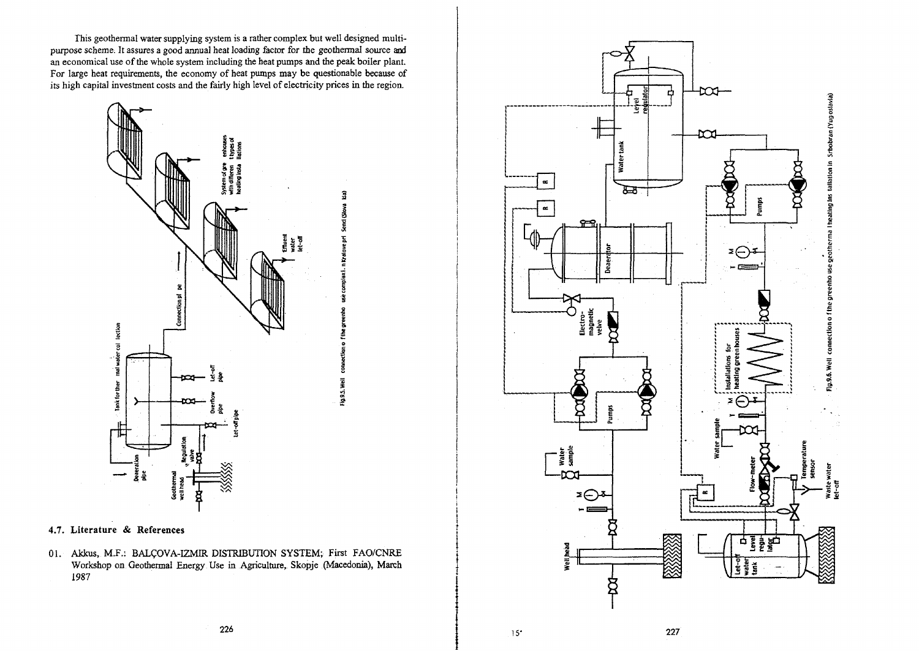This geothermal water supplying system is a rather complex but well designed multipurpose scheme. It assures a good annual heat loading factor for the geothermal source and an economical use of the whole system including the heat pumps and the peak boiler plant. For large heat requirements, the economy of heat pumps may be questionable because of its high capital investment costs and the fairly high level of electricity prices in the region.

 $\widehat{\mathbf{3}}$ 

Send (Slova

xi. h Kralove pri

ection o 1

Fig.9.5. Well



## **4.7. Literature & References**

01. Akkus, M.F.: BALCOVA-IZMIR DISTRIBUTION SYSTEM; First FAO/CNRE Workshop on Geothermal Energy Use in Agriculture, Skopje (Macedonia), March 1987



**15'** 227